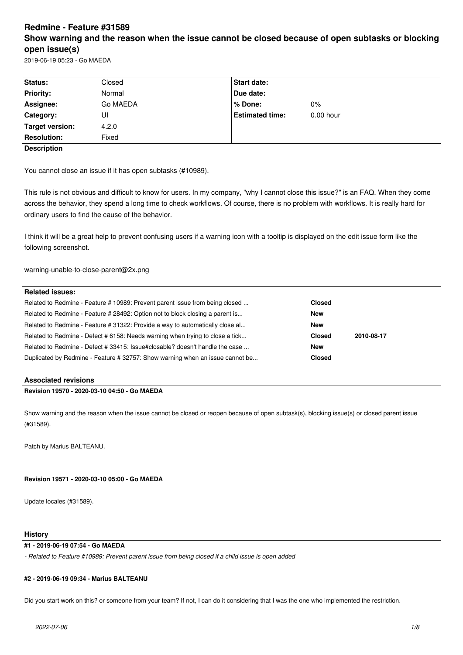# **Redmine - Feature #31589 Show warning and the reason when the issue cannot be closed because of open subtasks or blocking open issue(s)**

2019-06-19 05:23 - Go MAEDA

| Status:                                                                                                                                  | Closed                                                                                                                              | <b>Start date:</b>     |               |            |  |  |
|------------------------------------------------------------------------------------------------------------------------------------------|-------------------------------------------------------------------------------------------------------------------------------------|------------------------|---------------|------------|--|--|
| <b>Priority:</b>                                                                                                                         | Normal                                                                                                                              | Due date:              |               |            |  |  |
| Assignee:                                                                                                                                | Go MAEDA                                                                                                                            | % Done:                | 0%            |            |  |  |
| Category:                                                                                                                                | UI                                                                                                                                  | <b>Estimated time:</b> | $0.00$ hour   |            |  |  |
| <b>Target version:</b>                                                                                                                   | 4.2.0                                                                                                                               |                        |               |            |  |  |
| <b>Resolution:</b>                                                                                                                       | Fixed                                                                                                                               |                        |               |            |  |  |
| <b>Description</b>                                                                                                                       |                                                                                                                                     |                        |               |            |  |  |
|                                                                                                                                          |                                                                                                                                     |                        |               |            |  |  |
| You cannot close an issue if it has open subtasks (#10989).                                                                              |                                                                                                                                     |                        |               |            |  |  |
|                                                                                                                                          |                                                                                                                                     |                        |               |            |  |  |
|                                                                                                                                          | This rule is not obvious and difficult to know for users. In my company, "why I cannot close this issue?" is an FAQ. When they come |                        |               |            |  |  |
| across the behavior, they spend a long time to check workflows. Of course, there is no problem with workflows. It is really hard for     |                                                                                                                                     |                        |               |            |  |  |
| ordinary users to find the cause of the behavior.                                                                                        |                                                                                                                                     |                        |               |            |  |  |
|                                                                                                                                          |                                                                                                                                     |                        |               |            |  |  |
| I think it will be a great help to prevent confusing users if a warning icon with a tooltip is displayed on the edit issue form like the |                                                                                                                                     |                        |               |            |  |  |
| following screenshot.                                                                                                                    |                                                                                                                                     |                        |               |            |  |  |
|                                                                                                                                          |                                                                                                                                     |                        |               |            |  |  |
| warning-unable-to-close-parent@2x.png                                                                                                    |                                                                                                                                     |                        |               |            |  |  |
|                                                                                                                                          |                                                                                                                                     |                        |               |            |  |  |
| <b>Related issues:</b>                                                                                                                   |                                                                                                                                     |                        |               |            |  |  |
|                                                                                                                                          | Related to Redmine - Feature # 10989: Prevent parent issue from being closed                                                        |                        | <b>Closed</b> |            |  |  |
| Related to Redmine - Feature # 28492: Option not to block closing a parent is                                                            |                                                                                                                                     |                        | <b>New</b>    |            |  |  |
| Related to Redmine - Feature # 31322: Provide a way to automatically close al                                                            |                                                                                                                                     |                        | <b>New</b>    |            |  |  |
| Related to Redmine - Defect # 6158: Needs warning when trying to close a tick                                                            |                                                                                                                                     |                        | <b>Closed</b> | 2010-08-17 |  |  |
| Related to Redmine - Defect # 33415: Issue#closable? doesn't handle the case                                                             |                                                                                                                                     |                        | <b>New</b>    |            |  |  |
| Duplicated by Redmine - Feature # 32757: Show warning when an issue cannot be                                                            |                                                                                                                                     |                        | <b>Closed</b> |            |  |  |
|                                                                                                                                          |                                                                                                                                     |                        |               |            |  |  |

# **Associated revisions**

**Revision 19570 - 2020-03-10 04:50 - Go MAEDA**

Show warning and the reason when the issue cannot be closed or reopen because of open subtask(s), blocking issue(s) or closed parent issue (#31589).

Patch by Marius BALTEANU.

**Revision 19571 - 2020-03-10 05:00 - Go MAEDA**

Update locales (#31589).

# **History**

# **#1 - 2019-06-19 07:54 - Go MAEDA**

*- Related to Feature #10989: Prevent parent issue from being closed if a child issue is open added*

# **#2 - 2019-06-19 09:34 - Marius BALTEANU**

Did you start work on this? or someone from your team? If not, I can do it considering that I was the one who implemented the restriction.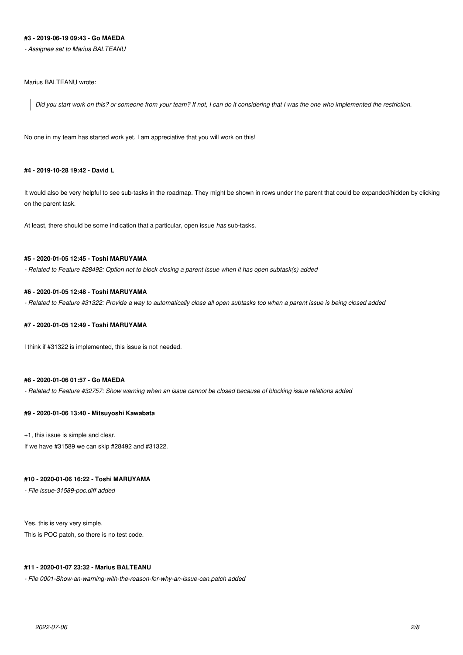# **#3 - 2019-06-19 09:43 - Go MAEDA**

*- Assignee set to Marius BALTEANU*

# Marius BALTEANU wrote:

*Did you start work on this? or someone from your team? If not, I can do it considering that I was the one who implemented the restriction.*

No one in my team has started work yet. I am appreciative that you will work on this!

#### **#4 - 2019-10-28 19:42 - David L**

It would also be very helpful to see sub-tasks in the roadmap. They might be shown in rows under the parent that could be expanded/hidden by clicking on the parent task.

At least, there should be some indication that a particular, open issue *has* sub-tasks.

### **#5 - 2020-01-05 12:45 - Toshi MARUYAMA**

*- Related to Feature #28492: Option not to block closing a parent issue when it has open subtask(s) added*

#### **#6 - 2020-01-05 12:48 - Toshi MARUYAMA**

*- Related to Feature #31322: Provide a way to automatically close all open subtasks too when a parent issue is being closed added*

#### **#7 - 2020-01-05 12:49 - Toshi MARUYAMA**

I think if #31322 is implemented, this issue is not needed.

#### **#8 - 2020-01-06 01:57 - Go MAEDA**

*- Related to Feature #32757: Show warning when an issue cannot be closed because of blocking issue relations added*

# **#9 - 2020-01-06 13:40 - Mitsuyoshi Kawabata**

+1, this issue is simple and clear.

If we have #31589 we can skip #28492 and #31322.

#### **#10 - 2020-01-06 16:22 - Toshi MARUYAMA**

*- File issue-31589-poc.diff added*

Yes, this is very very simple.

This is POC patch, so there is no test code.

# **#11 - 2020-01-07 23:32 - Marius BALTEANU**

*- File 0001-Show-an-warning-with-the-reason-for-why-an-issue-can.patch added*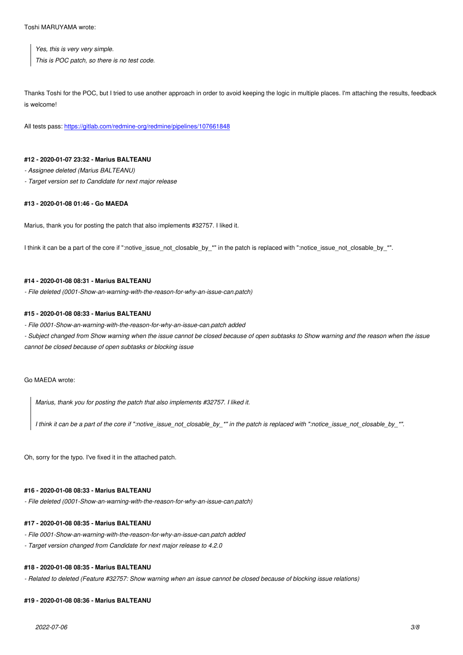*Yes, this is very very simple. This is POC patch, so there is no test code.*

Thanks Toshi for the POC, but I tried to use another approach in order to avoid keeping the logic in multiple places. I'm attaching the results, feedback is welcome!

All tests pass: https://gitlab.com/redmine-org/redmine/pipelines/107661848

#### **#12 - 2020-01[-07 23:32 - Marius BALTEANU](https://gitlab.com/redmine-org/redmine/pipelines/107661848)**

*- Assignee deleted (Marius BALTEANU)*

*- Target version set to Candidate for next major release*

#### **#13 - 2020-01-08 01:46 - Go MAEDA**

Marius, thank you for posting the patch that also implements #32757. I liked it.

I think it can be a part of the core if ":notive\_issue\_not\_closable\_by\_\*" in the patch is replaced with ":notice\_issue\_not\_closable\_by\_\*".

#### **#14 - 2020-01-08 08:31 - Marius BALTEANU**

*- File deleted (0001-Show-an-warning-with-the-reason-for-why-an-issue-can.patch)*

#### **#15 - 2020-01-08 08:33 - Marius BALTEANU**

*- File 0001-Show-an-warning-with-the-reason-for-why-an-issue-can.patch added*

*- Subject changed from Show warning when the issue cannot be closed because of open subtasks to Show warning and the reason when the issue cannot be closed because of open subtasks or blocking issue*

Go MAEDA wrote:

*Marius, thank you for posting the patch that also implements #32757. I liked it.*

*I think it can be a part of the core if ":notive\_issue\_not\_closable\_by\_\*" in the patch is replaced with ":notice\_issue\_not\_closable\_by\_\*".*

Oh, sorry for the typo. I've fixed it in the attached patch.

#### **#16 - 2020-01-08 08:33 - Marius BALTEANU**

*- File deleted (0001-Show-an-warning-with-the-reason-for-why-an-issue-can.patch)*

#### **#17 - 2020-01-08 08:35 - Marius BALTEANU**

- *File 0001-Show-an-warning-with-the-reason-for-why-an-issue-can.patch added*
- *Target version changed from Candidate for next major release to 4.2.0*

#### **#18 - 2020-01-08 08:35 - Marius BALTEANU**

*- Related to deleted (Feature #32757: Show warning when an issue cannot be closed because of blocking issue relations)*

#### **#19 - 2020-01-08 08:36 - Marius BALTEANU**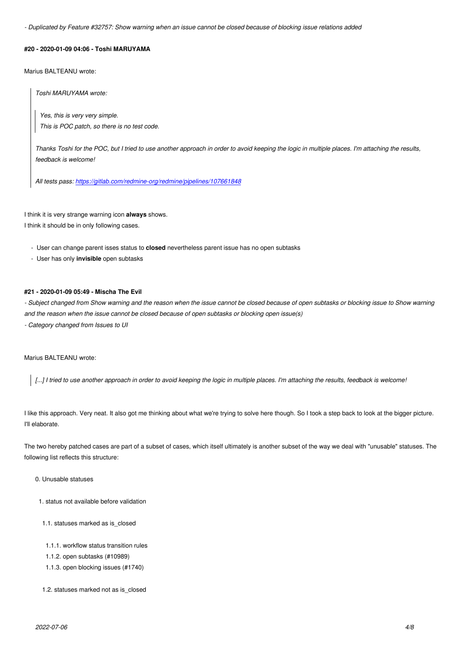#### **#20 - 2020-01-09 04:06 - Toshi MARUYAMA**

Marius BALTEANU wrote:

*Toshi MARUYAMA wrote:*

*Yes, this is very very simple. This is POC patch, so there is no test code.*

*Thanks Toshi for the POC, but I tried to use another approach in order to avoid keeping the logic in multiple places. I'm attaching the results, feedback is welcome!*

*All tests pass: https://gitlab.com/redmine-org/redmine/pipelines/107661848*

I think it is very str[ange warning icon](https://gitlab.com/redmine-org/redmine/pipelines/107661848) **always** shows.

I think it should be in only following cases.

- User can change parent isses status to **closed** nevertheless parent issue has no open subtasks

- User has only **invisible** open subtasks

### **#21 - 2020-01-09 05:49 - Mischa The Evil**

- Subject changed from Show warning and the reason when the issue cannot be closed because of open subtasks or blocking issue to Show warning *and the reason when the issue cannot be closed because of open subtasks or blocking open issue(s) - Category changed from Issues to UI*

#### Marius BALTEANU wrote:

*[...] I tried to use another approach in order to avoid keeping the logic in multiple places. I'm attaching the results, feedback is welcome!*

I like this approach. Very neat. It also got me thinking about what we're trying to solve here though. So I took a step back to look at the bigger picture. I'll elaborate.

The two hereby patched cases are part of a subset of cases, which itself ultimately is another subset of the way we deal with "unusable" statuses. The following list reflects this structure:

# 0. Unusable statuses

- 1. status not available before validation
- 1.1. statuses marked as is\_closed
- 1.1.1. workflow status transition rules
- 1.1.2. open subtasks (#10989)
- 1.1.3. open blocking issues (#1740)
- 1.2. statuses marked not as is\_closed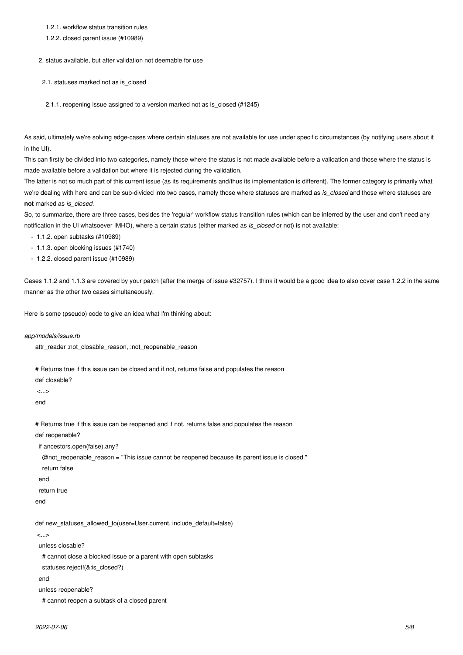# 1.2.1. workflow status transition rules

1.2.2. closed parent issue (#10989)

2. status available, but after validation not deemable for use

2.1. statuses marked not as is closed

2.1.1. reopening issue assigned to a version marked not as is\_closed (#1245)

As said, ultimately we're solving edge-cases where certain statuses are not available for use under specific circumstances (by notifying users about it in the UI).

This can firstly be divided into two categories, namely those where the status is not made available before a validation and those where the status is made available before a validation but where it is rejected during the validation.

The latter is not so much part of this current issue (as its requirements and/thus its implementation is different). The former category is primarily what we're dealing with here and can be sub-divided into two cases, namely those where statuses are marked as *is closed* and those where statuses are **not** marked as *is\_closed*.

So, to summarize, there are three cases, besides the 'regular' workflow status transition rules (which can be inferred by the user and don't need any notification in the UI whatsoever IMHO), where a certain status (either marked as *is\_closed* or not) is not available:

- 1.1.2. open subtasks (#10989)
- 1.1.3. open blocking issues (#1740)
- 1.2.2. closed parent issue (#10989)

Cases 1.1.2 and 1.1.3 are covered by your patch (after the merge of issue #32757). I think it would be a good idea to also cover case 1.2.2 in the same manner as the other two cases simultaneously.

Here is some (pseudo) code to give an idea what I'm thinking about:

*app/models/issue.rb*

attr\_reader :not\_closable\_reason, :not\_reopenable\_reason

# Returns true if this issue can be closed and if not, returns false and populates the reason

def closable?

 $\sim$ end

# Returns true if this issue can be reopened and if not, returns false and populates the reason

def reopenable?

if ancestors.open(false).any?

@not\_reopenable\_reason = "This issue cannot be reopened because its parent issue is closed."

- return false
- end

return true

end

def new\_statuses\_allowed\_to(user=User.current, include\_default=false)

<...>

unless closable?

# cannot close a blocked issue or a parent with open subtasks

statuses.reject!(&:is\_closed?)

end

unless reopenable?

# cannot reopen a subtask of a closed parent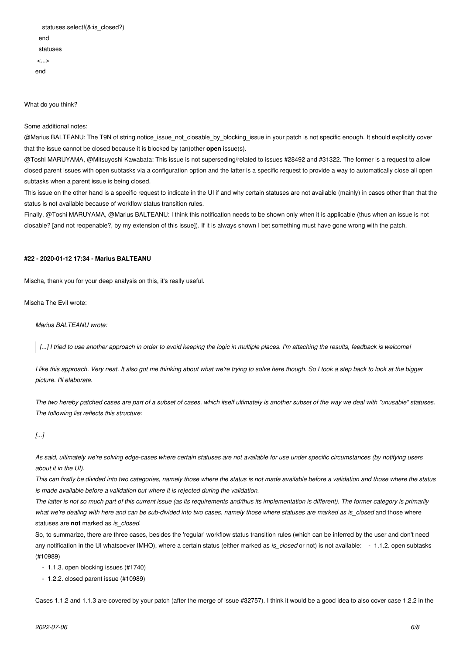| statuses.select!(&: is closed?) |
|---------------------------------|
| end                             |
| statuses                        |
| $\langle \ldots \rangle$        |
| end                             |

What do you think?

#### Some additional notes:

@Marius BALTEANU: The T9N of string notice\_issue\_not\_closable\_by\_blocking\_issue in your patch is not specific enough. It should explicitly cover that the issue cannot be closed because it is blocked by (an)other **open** issue(s).

@Toshi MARUYAMA, @Mitsuyoshi Kawabata: This issue is not superseding/related to issues #28492 and #31322. The former is a request to allow closed parent issues with open subtasks via a configuration option and the latter is a specific request to provide a way to automatically close all open subtasks when a parent issue is being closed.

This issue on the other hand is a specific request to indicate in the UI if and why certain statuses are not available (mainly) in cases other than that the status is not available because of workflow status transition rules.

Finally, @Toshi MARUYAMA, @Marius BALTEANU: I think this notification needs to be shown only when it is applicable (thus when an issue is not closable? [and not reopenable?, by my extension of this issue]). If it is always shown I bet something must have gone wrong with the patch.

# **#22 - 2020-01-12 17:34 - Marius BALTEANU**

Mischa, thank you for your deep analysis on this, it's really useful.

Mischa The Evil wrote:

*Marius BALTEANU wrote:*

*[...] I tried to use another approach in order to avoid keeping the logic in multiple places. I'm attaching the results, feedback is welcome!*

*I like this approach. Very neat. It also got me thinking about what we're trying to solve here though. So I took a step back to look at the bigger picture. I'll elaborate.*

*The two hereby patched cases are part of a subset of cases, which itself ultimately is another subset of the way we deal with "unusable" statuses. The following list reflects this structure:*

# *[...]*

*As said, ultimately we're solving edge-cases where certain statuses are not available for use under specific circumstances (by notifying users about it in the UI).*

*This can firstly be divided into two categories, namely those where the status is not made available before a validation and those where the status is made available before a validation but where it is rejected during the validation.*

*The latter is not so much part of this current issue (as its requirements and/thus its implementation is different). The former category is primarily what we're dealing with here and can be sub-divided into two cases, namely those where statuses are marked as is\_closed* and those where statuses are **not** marked as *is\_closed*.

So, to summarize, there are three cases, besides the 'regular' workflow status transition rules (which can be inferred by the user and don't need any notification in the UI whatsoever IMHO), where a certain status (either marked as *is\_closed* or not) is not available: - 1.1.2. open subtasks (#10989)

- 1.1.3. open blocking issues (#1740)

- 1.2.2. closed parent issue (#10989)

Cases 1.1.2 and 1.1.3 are covered by your patch (after the merge of issue #32757). I think it would be a good idea to also cover case 1.2.2 in the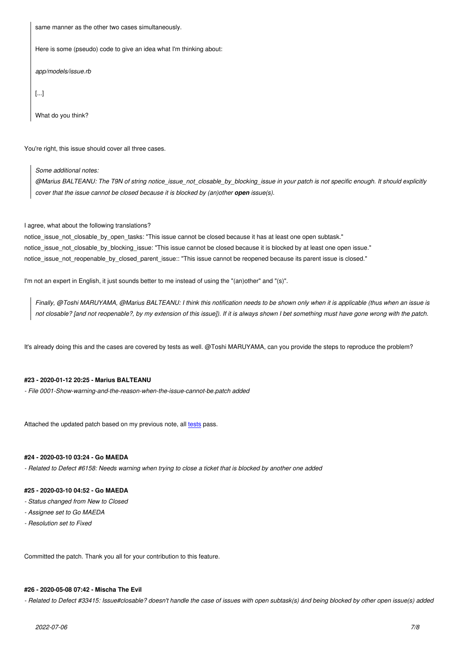Here is some (pseudo) code to give an idea what I'm thinking about:

*app/models/issue.rb*

[...]

What do you think?

You're right, this issue should cover all three cases.

*Some additional notes:*

*@Marius BALTEANU: The T9N of string notice\_issue\_not\_closable\_by\_blocking\_issue in your patch is not specific enough. It should explicitly cover that the issue cannot be closed because it is blocked by (an)other open issue(s).* 

I agree, what about the following translations?

notice\_issue\_not\_closable\_by\_open\_tasks: "This issue cannot be closed because it has at least one open subtask." notice\_issue\_not\_closable\_by\_blocking\_issue: "This issue cannot be closed because it is blocked by at least one open issue." notice\_issue\_not\_reopenable\_by\_closed\_parent\_issue:: "This issue cannot be reopened because its parent issue is closed."

I'm not an expert in English, it just sounds better to me instead of using the "(an)other" and "(s)".

*Finally, @Toshi MARUYAMA, @Marius BALTEANU: I think this notification needs to be shown only when it is applicable (thus when an issue is not closable? [and not reopenable?, by my extension of this issue]). If it is always shown I bet something must have gone wrong with the patch.*

It's already doing this and the cases are covered by tests as well. @Toshi MARUYAMA, can you provide the steps to reproduce the problem?

# **#23 - 2020-01-12 20:25 - Marius BALTEANU**

*- File 0001-Show-warning-and-the-reason-when-the-issue-cannot-be.patch added*

Attached the updated patch based on my previous note, all tests pass.

# **#24 - 2020-03-10 03:24 - Go MAEDA**

*- Related to Defect #6158: Needs warning when trying to cl[ose a](https://gitlab.com/redmine-org/redmine/pipelines/108734385) ticket that is blocked by another one added*

#### **#25 - 2020-03-10 04:52 - Go MAEDA**

- *Status changed from New to Closed*
- *Assignee set to Go MAEDA*
- *Resolution set to Fixed*

Committed the patch. Thank you all for your contribution to this feature.

# **#26 - 2020-05-08 07:42 - Mischa The Evil**

*- Related to Defect #33415: Issue#closable? doesn't handle the case of issues with open subtask(s) ánd being blocked by other open issue(s) added*